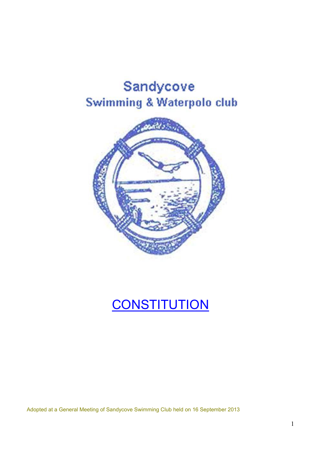# Sandycove **Swimming & Waterpolo club**



# **CONSTITUTION**

Adopted at a General Meeting of Sandycove Swimming Club held on 16 September 2013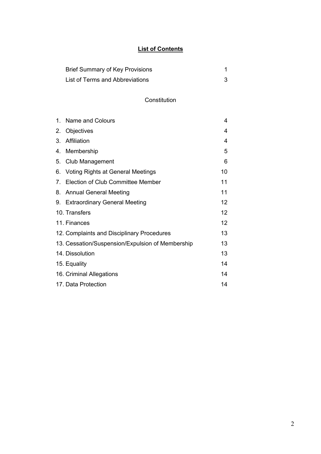# **List of Contents**

| <b>Brief Summary of Key Provisions</b> |  |
|----------------------------------------|--|
| List of Terms and Abbreviations        |  |

# Constitution

|    | 1. Name and Colours                              | 4               |
|----|--------------------------------------------------|-----------------|
| 2. | Objectives                                       | 4               |
| 3. | Affiliation                                      | 4               |
|    | 4. Membership                                    | 5               |
|    | 5. Club Management                               | 6               |
|    | 6. Voting Rights at General Meetings             | 10              |
|    | 7. Election of Club Committee Member             | 11              |
|    | 8. Annual General Meeting                        | 11              |
|    | 9. Extraordinary General Meeting                 | 12 <sup>2</sup> |
|    | 10. Transfers                                    | 12              |
|    | 11. Finances                                     | 12 <sup>2</sup> |
|    | 12. Complaints and Disciplinary Procedures       | 13              |
|    | 13. Cessation/Suspension/Expulsion of Membership | 13              |
|    | 14. Dissolution                                  | 13              |
|    | 15. Equality                                     | 14              |
|    | 16. Criminal Allegations                         | 14              |
|    | 17. Data Protection                              | 14              |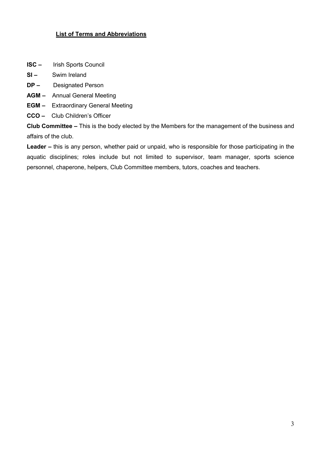#### **List of Terms and Abbreviations**

- **ISC** Irish Sports Council
- **SI** Swim Ireland
- **DP –** Designated Person
- **AGM –** Annual General Meeting
- **EGM –** Extraordinary General Meeting
- **CCO –** Club Children's Officer

**Club Committee –** This is the body elected by the Members for the management of the business and affairs of the club.

**Leader –** this is any person, whether paid or unpaid, who is responsible for those participating in the aquatic disciplines; roles include but not limited to supervisor, team manager, sports science personnel, chaperone, helpers, Club Committee members, tutors, coaches and teachers.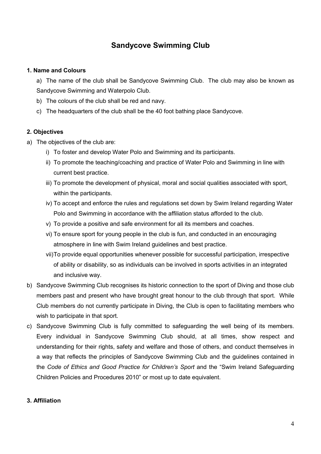# **Sandycove Swimming Club**

#### **1. Name and Colours**

a) The name of the club shall be Sandycove Swimming Club. The club may also be known as Sandycove Swimming and Waterpolo Club.

- b) The colours of the club shall be red and navy.
- c) The headquarters of the club shall be the 40 foot bathing place Sandycove.

#### **2. Objectives**

- a) The objectives of the club are:
	- i) To foster and develop Water Polo and Swimming and its participants.
	- ii) To promote the teaching/coaching and practice of Water Polo and Swimming in line with current best practice.
	- iii) To promote the development of physical, moral and social qualities associated with sport, within the participants.
	- iv) To accept and enforce the rules and regulations set down by Swim Ireland regarding Water Polo and Swimming in accordance with the affiliation status afforded to the club.
	- v) To provide a positive and safe environment for all its members and coaches.
	- vi) To ensure sport for young people in the club is fun, and conducted in an encouraging atmosphere in line with Swim Ireland guidelines and best practice.
	- vii)To provide equal opportunities whenever possible for successful participation, irrespective of ability or disability, so as individuals can be involved in sports activities in an integrated and inclusive way.
- b) Sandycove Swimming Club recognises its historic connection to the sport of Diving and those club members past and present who have brought great honour to the club through that sport. While Club members do not currently participate in Diving, the Club is open to facilitating members who wish to participate in that sport.
- c) Sandycove Swimming Club is fully committed to safeguarding the well being of its members. Every individual in Sandycove Swimming Club should, at all times, show respect and understanding for their rights, safety and welfare and those of others, and conduct themselves in a way that reflects the principles of Sandycove Swimming Club and the guidelines contained in the *Code of Ethics and Good Practice for Children's Sport* and the "Swim Ireland Safeguarding Children Policies and Procedures 2010" or most up to date equivalent.

#### **3. Affiliation**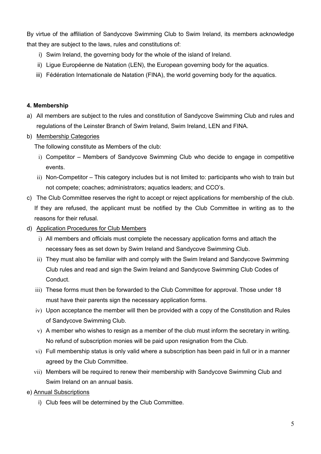By virtue of the affiliation of Sandycove Swimming Club to Swim Ireland, its members acknowledge that they are subject to the laws, rules and constitutions of:

- i) Swim Ireland, the governing body for the whole of the island of Ireland.
- ii) Ligue Européenne de Natation (LEN), the European governing body for the aquatics.
- iii) Fédération Internationale de Natation (FINA), the world governing body for the aquatics.

## **4. Membership**

- a) All members are subject to the rules and constitution of Sandycove Swimming Club and rules and regulations of the Leinster Branch of Swim Ireland, Swim Ireland, LEN and FINA.
- b) Membership Categories

The following constitute as Members of the club:

- i) Competitor Members of Sandycove Swimming Club who decide to engage in competitive events.
- ii) Non-Competitor This category includes but is not limited to: participants who wish to train but not compete; coaches; administrators; aquatics leaders; and CCO's.
- c) The Club Committee reserves the right to accept or reject applications for membership of the club. If they are refused, the applicant must be notified by the Club Committee in writing as to the reasons for their refusal.
- d) Application Procedures for Club Members
	- i) All members and officials must complete the necessary application forms and attach the necessary fees as set down by Swim Ireland and Sandycove Swimming Club.
	- ii) They must also be familiar with and comply with the Swim Ireland and Sandycove Swimming Club rules and read and sign the Swim Ireland and Sandycove Swimming Club Codes of Conduct.
	- iii) These forms must then be forwarded to the Club Committee for approval. Those under 18 must have their parents sign the necessary application forms.
	- iv) Upon acceptance the member will then be provided with a copy of the Constitution and Rules of Sandycove Swimming Club.
	- v) A member who wishes to resign as a member of the club must inform the secretary in writing. No refund of subscription monies will be paid upon resignation from the Club.
	- vi) Full membership status is only valid where a subscription has been paid in full or in a manner agreed by the Club Committee.
	- vii) Members will be required to renew their membership with Sandycove Swimming Club and Swim Ireland on an annual basis.
- e) Annual Subscriptions
	- i) Club fees will be determined by the Club Committee.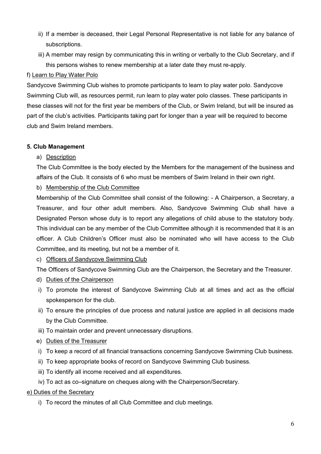- ii) If a member is deceased, their Legal Personal Representative is not liable for any balance of subscriptions.
- iii) A member may resign by communicating this in writing or verbally to the Club Secretary, and if this persons wishes to renew membership at a later date they must re-apply.

# f) Learn to Play Water Polo

Sandycove Swimming Club wishes to promote participants to learn to play water polo. Sandycove Swimming Club will, as resources permit, run learn to play water polo classes. These participants in these classes will not for the first year be members of the Club, or Swim Ireland, but will be insured as part of the club's activities. Participants taking part for longer than a year will be required to become club and Swim Ireland members.

# **5. Club Management**

# a) Description

The Club Committee is the body elected by the Members for the management of the business and affairs of the Club. It consists of 6 who must be members of Swim Ireland in their own right.

# b) Membership of the Club Committee

Membership of the Club Committee shall consist of the following: - A Chairperson, a Secretary, a Treasurer, and four other adult members. Also, Sandycove Swimming Club shall have a Designated Person whose duty is to report any allegations of child abuse to the statutory body. This individual can be any member of the Club Committee although it is recommended that it is an officer. A Club Children's Officer must also be nominated who will have access to the Club Committee, and its meeting, but not be a member of it.

c) Officers of Sandycove Swimming Club

The Officers of Sandycove Swimming Club are the Chairperson, the Secretary and the Treasurer.

- d) Duties of the Chairperson
- i) To promote the interest of Sandycove Swimming Club at all times and act as the official spokesperson for the club.
- ii) To ensure the principles of due process and natural justice are applied in all decisions made by the Club Committee.
- iii) To maintain order and prevent unnecessary disruptions.
- e) Duties of the Treasurer
- i) To keep a record of all financial transactions concerning Sandycove Swimming Club business.
- ii) To keep appropriate books of record on Sandycove Swimming Club business.
- iii) To identify all income received and all expenditures.
- iv) To act as co–signature on cheques along with the Chairperson/Secretary.

# e) Duties of the Secretary

i) To record the minutes of all Club Committee and club meetings.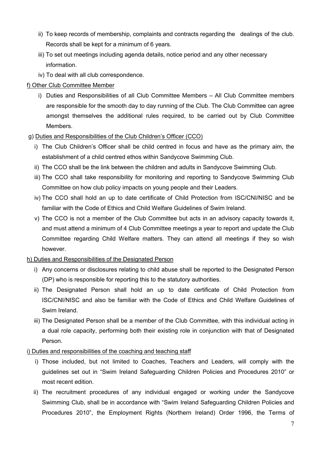- ii) To keep records of membership, complaints and contracts regarding the dealings of the club. Records shall be kept for a minimum of 6 years.
- iii) To set out meetings including agenda details, notice period and any other necessary information.
- iv) To deal with all club correspondence.

# f) Other Club Committee Member

i) Duties and Responsibilities of all Club Committee Members – All Club Committee members are responsible for the smooth day to day running of the Club. The Club Committee can agree amongst themselves the additional rules required, to be carried out by Club Committee Members.

# g) Duties and Responsibilities of the Club Children's Officer (CCO)

- i) The Club Children's Officer shall be child centred in focus and have as the primary aim, the establishment of a child centred ethos within Sandycove Swimming Club.
- ii) The CCO shall be the link between the children and adults in Sandycove Swimming Club.
- iii) The CCO shall take responsibility for monitoring and reporting to Sandycove Swimming Club Committee on how club policy impacts on young people and their Leaders.
- iv) The CCO shall hold an up to date certificate of Child Protection from ISC/CNI/NISC and be familiar with the Code of Ethics and Child Welfare Guidelines of Swim Ireland.
- v) The CCO is not a member of the Club Committee but acts in an advisory capacity towards it, and must attend a minimum of 4 Club Committee meetings a year to report and update the Club Committee regarding Child Welfare matters. They can attend all meetings if they so wish however.

# h) Duties and Responsibilities of the Designated Person

- i) Any concerns or disclosures relating to child abuse shall be reported to the Designated Person (DP) who is responsible for reporting this to the statutory authorities.
- ii) The Designated Person shall hold an up to date certificate of Child Protection from ISC/CNI/NISC and also be familiar with the Code of Ethics and Child Welfare Guidelines of Swim Ireland.
- iii) The Designated Person shall be a member of the Club Committee, with this individual acting in a dual role capacity, performing both their existing role in conjunction with that of Designated Person.

# i) Duties and responsibilities of the coaching and teaching staff

- i) Those included, but not limited to Coaches, Teachers and Leaders, will comply with the guidelines set out in "Swim Ireland Safeguarding Children Policies and Procedures 2010" or most recent edition.
- ii) The recruitment procedures of any individual engaged or working under the Sandycove Swimming Club, shall be in accordance with "Swim Ireland Safeguarding Children Policies and Procedures 2010", the Employment Rights (Northern Ireland) Order 1996, the Terms of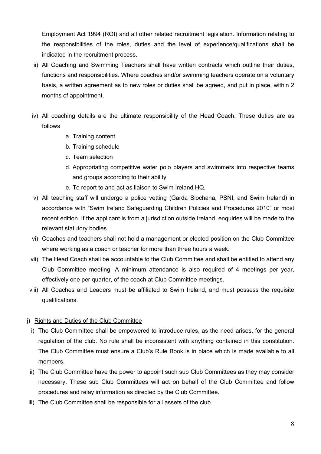Employment Act 1994 (ROI) and all other related recruitment legislation. Information relating to the responsibilities of the roles, duties and the level of experience/qualifications shall be indicated in the recruitment process.

- iii) All Coaching and Swimming Teachers shall have written contracts which outline their duties, functions and responsibilities. Where coaches and/or swimming teachers operate on a voluntary basis, a written agreement as to new roles or duties shall be agreed, and put in place, within 2 months of appointment.
- iv) All coaching details are the ultimate responsibility of the Head Coach. These duties are as follows
	- a. Training content
	- b. Training schedule
	- c. Team selection
	- d. Appropriating competitive water polo players and swimmers into respective teams and groups according to their ability
	- e. To report to and act as liaison to Swim Ireland HQ.
- v) All teaching staff will undergo a police vetting (Garda Siochana, PSNI, and Swim Ireland) in accordance with "Swim Ireland Safeguarding Children Policies and Procedures 2010" or most recent edition. If the applicant is from a jurisdiction outside Ireland, enquiries will be made to the relevant statutory bodies.
- vi) Coaches and teachers shall not hold a management or elected position on the Club Committee where working as a coach or teacher for more than three hours a week.
- vii) The Head Coach shall be accountable to the Club Committee and shall be entitled to attend any Club Committee meeting. A minimum attendance is also required of 4 meetings per year, effectively one per quarter, of the coach at Club Committee meetings.
- viii) All Coaches and Leaders must be affiliated to Swim Ireland, and must possess the requisite qualifications.

# j) Rights and Duties of the Club Committee

- i) The Club Committee shall be empowered to introduce rules, as the need arises, for the general regulation of the club. No rule shall be inconsistent with anything contained in this constitution. The Club Committee must ensure a Club's Rule Book is in place which is made available to all members.
- ii) The Club Committee have the power to appoint such sub Club Committees as they may consider necessary. These sub Club Committees will act on behalf of the Club Committee and follow procedures and relay information as directed by the Club Committee.
- iii) The Club Committee shall be responsible for all assets of the club.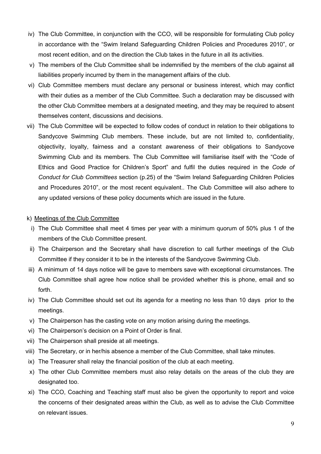- iv) The Club Committee, in conjunction with the CCO, will be responsible for formulating Club policy in accordance with the "Swim Ireland Safeguarding Children Policies and Procedures 2010", or most recent edition, and on the direction the Club takes in the future in all its activities.
- v) The members of the Club Committee shall be indemnified by the members of the club against all liabilities properly incurred by them in the management affairs of the club.
- vi) Club Committee members must declare any personal or business interest, which may conflict with their duties as a member of the Club Committee. Such a declaration may be discussed with the other Club Committee members at a designated meeting, and they may be required to absent themselves content, discussions and decisions.
- vii) The Club Committee will be expected to follow codes of conduct in relation to their obligations to Sandycove Swimming Club members. These include, but are not limited to, confidentiality, objectivity, loyalty, fairness and a constant awareness of their obligations to Sandycove Swimming Club and its members. The Club Committee will familiarise itself with the "Code of Ethics and Good Practice for Children's Sport" and fulfil the duties required in the *Code of Conduct for Club Committees* section (p.25) of the "Swim Ireland Safeguarding Children Policies and Procedures 2010", or the most recent equivalent.. The Club Committee will also adhere to any updated versions of these policy documents which are issued in the future.

#### k) Meetings of the Club Committee

- i) The Club Committee shall meet 4 times per year with a minimum quorum of 50% plus 1 of the members of the Club Committee present.
- ii) The Chairperson and the Secretary shall have discretion to call further meetings of the Club Committee if they consider it to be in the interests of the Sandycove Swimming Club.
- iii) A minimum of 14 days notice will be gave to members save with exceptional circumstances. The Club Committee shall agree how notice shall be provided whether this is phone, email and so forth.
- iv) The Club Committee should set out its agenda for a meeting no less than 10 days prior to the meetings.
- v) The Chairperson has the casting vote on any motion arising during the meetings.
- vi) The Chairperson's decision on a Point of Order is final.
- vii) The Chairperson shall preside at all meetings.
- viii) The Secretary, or in her/his absence a member of the Club Committee, shall take minutes.
- ix) The Treasurer shall relay the financial position of the club at each meeting.
- x) The other Club Committee members must also relay details on the areas of the club they are designated too.
- xi) The CCO, Coaching and Teaching staff must also be given the opportunity to report and voice the concerns of their designated areas within the Club, as well as to advise the Club Committee on relevant issues.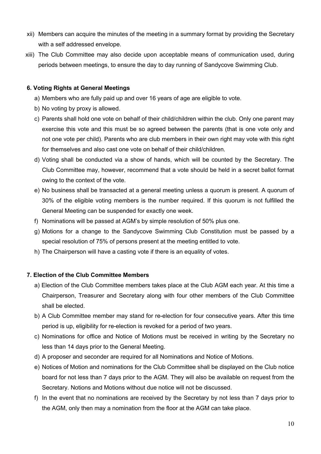- xii) Members can acquire the minutes of the meeting in a summary format by providing the Secretary with a self addressed envelope.
- xiii) The Club Committee may also decide upon acceptable means of communication used, during periods between meetings, to ensure the day to day running of Sandycove Swimming Club.

#### **6. Voting Rights at General Meetings**

- a) Members who are fully paid up and over 16 years of age are eligible to vote.
- b) No voting by proxy is allowed.
- c) Parents shall hold one vote on behalf of their child/children within the club. Only one parent may exercise this vote and this must be so agreed between the parents (that is one vote only and not one vote per child). Parents who are club members in their own right may vote with this right for themselves and also cast one vote on behalf of their child/children.
- d) Voting shall be conducted via a show of hands, which will be counted by the Secretary. The Club Committee may, however, recommend that a vote should be held in a secret ballot format owing to the context of the vote.
- e) No business shall be transacted at a general meeting unless a quorum is present. A quorum of 30% of the eligible voting members is the number required. If this quorum is not fulfilled the General Meeting can be suspended for exactly one week.
- f) Nominations will be passed at AGM's by simple resolution of 50% plus one.
- g) Motions for a change to the Sandycove Swimming Club Constitution must be passed by a special resolution of 75% of persons present at the meeting entitled to vote.
- h) The Chairperson will have a casting vote if there is an equality of votes.

#### **7. Election of the Club Committee Members**

- a) Election of the Club Committee members takes place at the Club AGM each year. At this time a Chairperson, Treasurer and Secretary along with four other members of the Club Committee shall be elected.
- b) A Club Committee member may stand for re-election for four consecutive years. After this time period is up, eligibility for re-election is revoked for a period of two years.
- c) Nominations for office and Notice of Motions must be received in writing by the Secretary no less than 14 days prior to the General Meeting.
- d) A proposer and seconder are required for all Nominations and Notice of Motions.
- e) Notices of Motion and nominations for the Club Committee shall be displayed on the Club notice board for not less than 7 days prior to the AGM. They will also be available on request from the Secretary. Notions and Motions without due notice will not be discussed.
- f) In the event that no nominations are received by the Secretary by not less than 7 days prior to the AGM, only then may a nomination from the floor at the AGM can take place.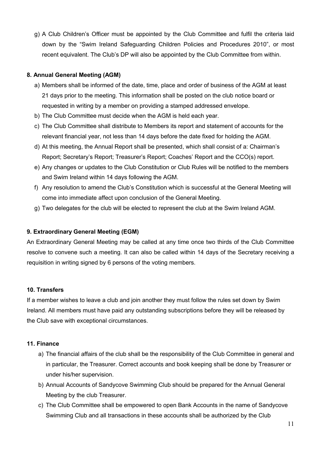g) A Club Children's Officer must be appointed by the Club Committee and fulfil the criteria laid down by the "Swim Ireland Safeguarding Children Policies and Procedures 2010", or most recent equivalent. The Club's DP will also be appointed by the Club Committee from within.

#### **8. Annual General Meeting (AGM)**

- a) Members shall be informed of the date, time, place and order of business of the AGM at least 21 days prior to the meeting. This information shall be posted on the club notice board or requested in writing by a member on providing a stamped addressed envelope.
- b) The Club Committee must decide when the AGM is held each year.
- c) The Club Committee shall distribute to Members its report and statement of accounts for the relevant financial year, not less than 14 days before the date fixed for holding the AGM.
- d) At this meeting, the Annual Report shall be presented, which shall consist of a: Chairman's Report; Secretary's Report; Treasurer's Report; Coaches' Report and the CCO(s) report.
- e) Any changes or updates to the Club Constitution or Club Rules will be notified to the members and Swim Ireland within 14 days following the AGM.
- f) Any resolution to amend the Club's Constitution which is successful at the General Meeting will come into immediate affect upon conclusion of the General Meeting.
- g) Two delegates for the club will be elected to represent the club at the Swim Ireland AGM.

# **9. Extraordinary General Meeting (EGM)**

An Extraordinary General Meeting may be called at any time once two thirds of the Club Committee resolve to convene such a meeting. It can also be called within 14 days of the Secretary receiving a requisition in writing signed by 6 persons of the voting members.

#### **10. Transfers**

If a member wishes to leave a club and join another they must follow the rules set down by Swim Ireland. All members must have paid any outstanding subscriptions before they will be released by the Club save with exceptional circumstances.

#### **11. Finance**

- a) The financial affairs of the club shall be the responsibility of the Club Committee in general and in particular, the Treasurer. Correct accounts and book keeping shall be done by Treasurer or under his/her supervision.
- b) Annual Accounts of Sandycove Swimming Club should be prepared for the Annual General Meeting by the club Treasurer.
- c) The Club Committee shall be empowered to open Bank Accounts in the name of Sandycove Swimming Club and all transactions in these accounts shall be authorized by the Club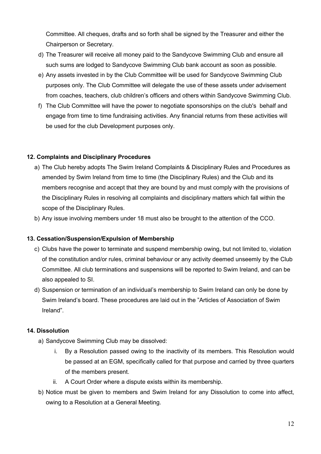Committee. All cheques, drafts and so forth shall be signed by the Treasurer and either the Chairperson or Secretary.

- d) The Treasurer will receive all money paid to the Sandycove Swimming Club and ensure all such sums are lodged to Sandycove Swimming Club bank account as soon as possible.
- e) Any assets invested in by the Club Committee will be used for Sandycove Swimming Club purposes only. The Club Committee will delegate the use of these assets under advisement from coaches, teachers, club children's officers and others within Sandycove Swimming Club.
- f) The Club Committee will have the power to negotiate sponsorships on the club's behalf and engage from time to time fundraising activities. Any financial returns from these activities will be used for the club Development purposes only.

### **12. Complaints and Disciplinary Procedures**

- a) The Club hereby adopts The Swim Ireland Complaints & Disciplinary Rules and Procedures as amended by Swim Ireland from time to time (the Disciplinary Rules) and the Club and its members recognise and accept that they are bound by and must comply with the provisions of the Disciplinary Rules in resolving all complaints and disciplinary matters which fall within the scope of the Disciplinary Rules.
- b) Any issue involving members under 18 must also be brought to the attention of the CCO.

#### **13. Cessation/Suspension/Expulsion of Membership**

- c) Clubs have the power to terminate and suspend membership owing, but not limited to, violation of the constitution and/or rules, criminal behaviour or any activity deemed unseemly by the Club Committee. All club terminations and suspensions will be reported to Swim Ireland, and can be also appealed to SI.
- d) Suspension or termination of an individual's membership to Swim Ireland can only be done by Swim Ireland's board. These procedures are laid out in the "Articles of Association of Swim Ireland".

#### **14. Dissolution**

- a) Sandycove Swimming Club may be dissolved:
	- i. By a Resolution passed owing to the inactivity of its members. This Resolution would be passed at an EGM, specifically called for that purpose and carried by three quarters of the members present.
	- ii. A Court Order where a dispute exists within its membership.
- b) Notice must be given to members and Swim Ireland for any Dissolution to come into affect, owing to a Resolution at a General Meeting.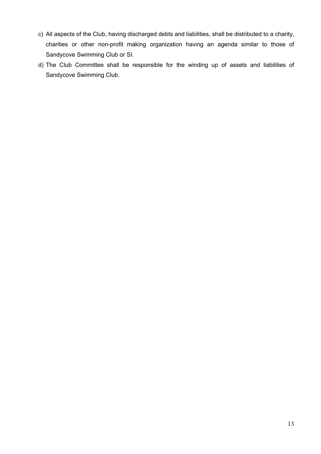- c) All aspects of the Club, having discharged debts and liabilities, shall be distributed to a charity, charities or other non-profit making organization having an agenda similar to those of Sandycove Swimming Club or SI.
- d) The Club Committee shall be responsible for the winding up of assets and liabilities of Sandycove Swimming Club.